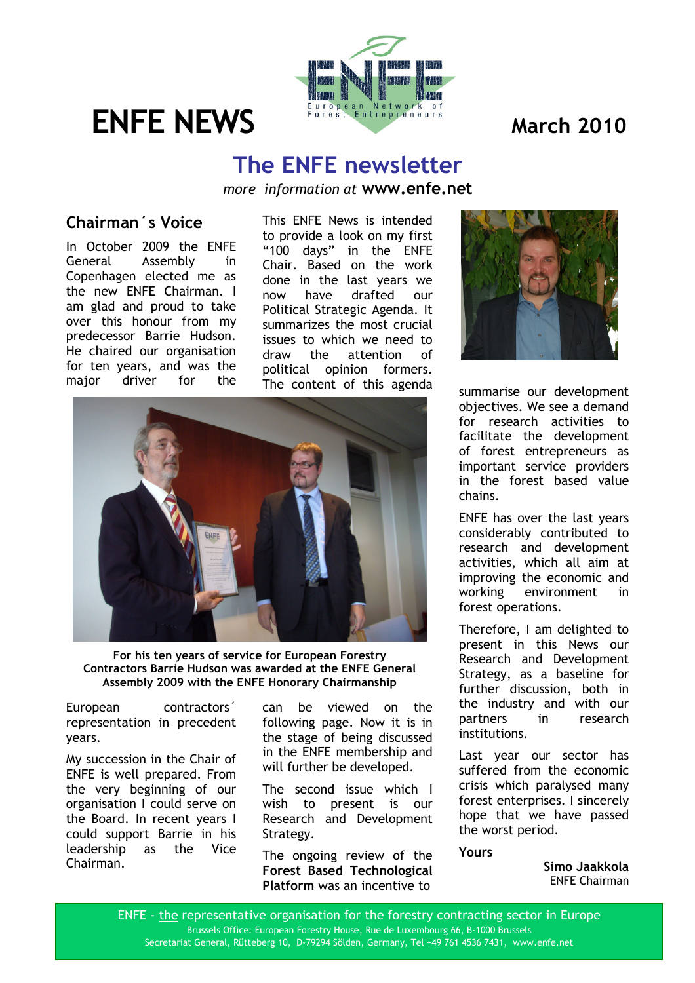

# **The ENFE newsletter**

*more information at* **www.enfe.net**

## **Chairman´s Voice**

In October 2009 the ENFE General Assembly in Copenhagen elected me as the new ENFE Chairman. I am glad and proud to take over this honour from my predecessor Barrie Hudson. He chaired our organisation for ten years, and was the major driver for the

This ENFE News is intended to provide a look on my first "100 days" in the ENFE Chair. Based on the work done in the last years we now have drafted our Political Strategic Agenda. It summarizes the most crucial issues to which we need to draw the attention of political opinion formers. The content of this agenda



**For his ten years of service for European Forestry Contractors Barrie Hudson was awarded at the ENFE General Assembly 2009 with the ENFE Honorary Chairmanship** 

European contractors´ representation in precedent years.

My succession in the Chair of ENFE is well prepared. From the very beginning of our organisation I could serve on the Board. In recent years I could support Barrie in his leadership as the Vice Chairman.

can be viewed on the following page. Now it is in the stage of being discussed in the ENFE membership and will further be developed.

The second issue which I wish to present is our Research and Development Strategy.

The ongoing review of the **Forest Based Technological Platform** was an incentive to



summarise our development objectives. We see a demand for research activities to facilitate the development of forest entrepreneurs as important service providers in the forest based value chains.

ENFE has over the last years considerably contributed to research and development activities, which all aim at improving the economic and working environment in forest operations.

Therefore, I am delighted to present in this News our Research and Development Strategy, as a baseline for further discussion, both in the industry and with our partners in research institutions.

Last year our sector has suffered from the economic crisis which paralysed many forest enterprises. I sincerely hope that we have passed the worst period.

**Yours** 

**Simo Jaakkola**  ENFE Chairman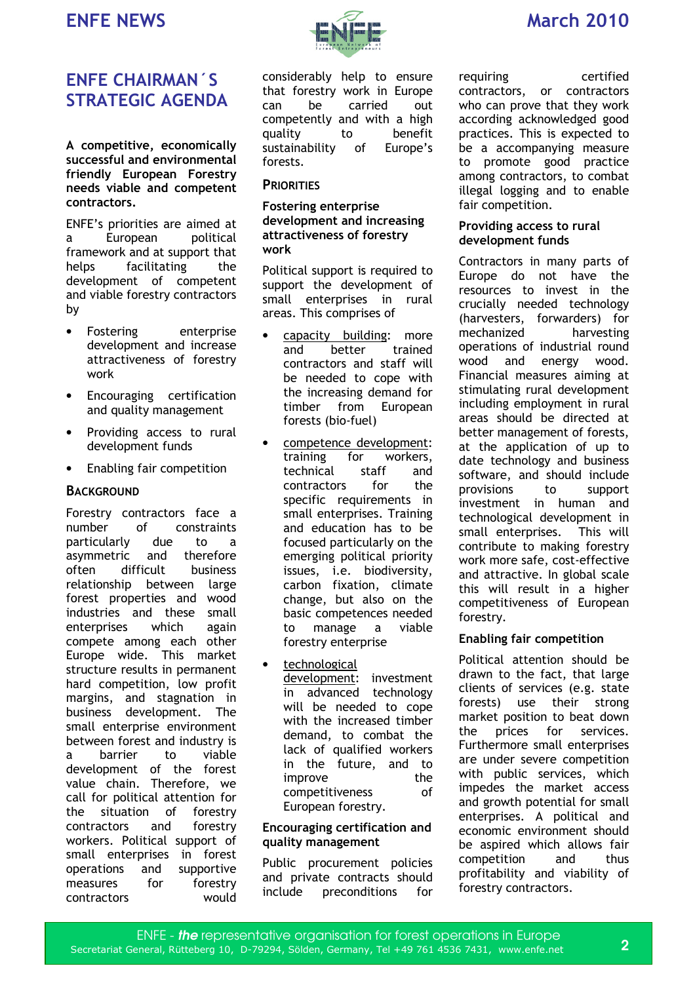## **ENFE CHAIRMAN´S STRATEGIC AGENDA**

**A competitive, economically successful and environmental friendly European Forestry needs viable and competent contractors.** 

ENFE's priorities are aimed at a European political framework and at support that helps facilitating the development of competent and viable forestry contractors by

- Fostering enterprise development and increase attractiveness of forestry work
- Encouraging certification and quality management
- Providing access to rural development funds
- Enabling fair competition

### **BACKGROUND**

Forestry contractors face a number of constraints particularly due to a asymmetric and therefore often difficult business relationship between large forest properties and wood industries and these small enterprises which again compete among each other Europe wide. This market structure results in permanent hard competition, low profit margins, and stagnation in business development. The small enterprise environment between forest and industry is a barrier to viable development of the forest value chain. Therefore, we call for political attention for the situation of forestry contractors and forestry workers. Political support of small enterprises in forest operations and supportive measures for forestry contractors would



considerably help to ensure that forestry work in Europe can be carried out competently and with a high quality to benefit sustainability of Europe's forests.

#### **PRIORITIES**

#### **Fostering enterprise development and increasing attractiveness of forestry work**

Political support is required to support the development of small enterprises in rural areas. This comprises of

- capacity building: more and better trained contractors and staff will be needed to cope with the increasing demand for timber from European forests (bio-fuel)
- competence development: training for workers, technical staff and contractors for the specific requirements in small enterprises. Training and education has to be focused particularly on the emerging political priority issues, i.e. biodiversity, carbon fixation, climate change, but also on the basic competences needed to manage a viable forestry enterprise
- technological development: investment in advanced technology will be needed to cope with the increased timber demand, to combat the lack of qualified workers in the future, and to improve the competitiveness of European forestry.

#### **Encouraging certification and quality management**

Public procurement policies and private contracts should include preconditions for

requiring certified contractors, or contractors who can prove that they work according acknowledged good practices. This is expected to be a accompanying measure to promote good practice among contractors, to combat illegal logging and to enable fair competition.

#### **Providing access to rural development funds**

Contractors in many parts of Europe do not have the resources to invest in the crucially needed technology (harvesters, forwarders) for mechanized harvesting operations of industrial round wood and energy wood. Financial measures aiming at stimulating rural development including employment in rural areas should be directed at better management of forests, at the application of up to date technology and business software, and should include provisions to support investment in human and technological development in small enterprises. This will contribute to making forestry work more safe, cost-effective and attractive. In global scale this will result in a higher competitiveness of European forestry.

### **Enabling fair competition**

Political attention should be drawn to the fact, that large clients of services (e.g. state forests) use their strong market position to beat down the prices for services. Furthermore small enterprises are under severe competition with public services, which impedes the market access and growth potential for small enterprises. A political and economic environment should be aspired which allows fair competition and thus profitability and viability of forestry contractors.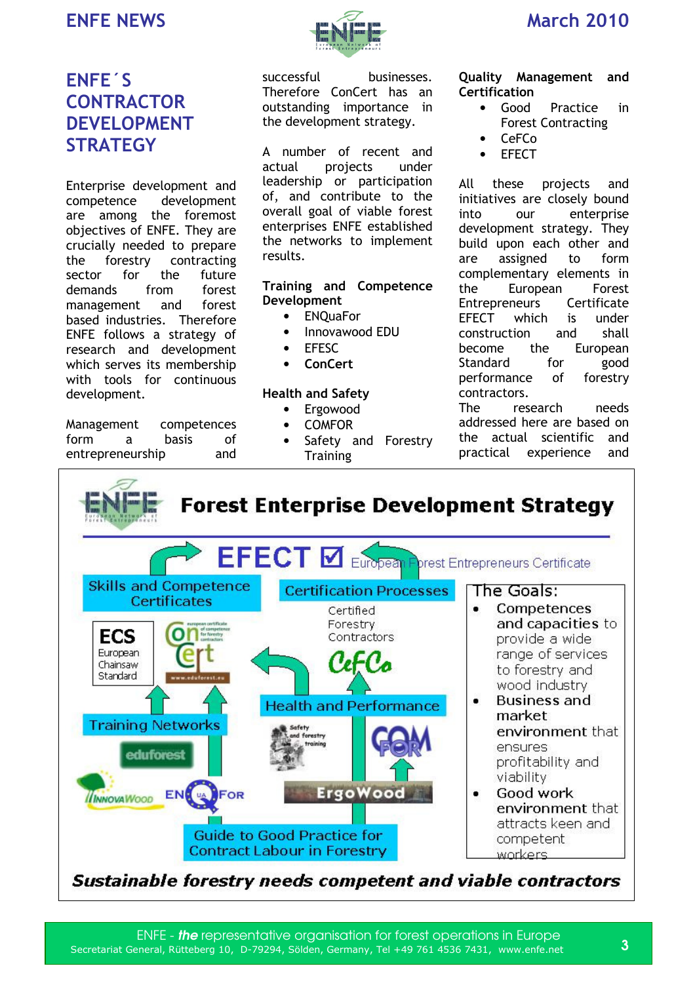## **ENFE´S CONTRACTOR DEVELOPMENT STRATEGY**

Enterprise development and competence development are among the foremost objectives of ENFE. They are crucially needed to prepare the forestry contracting sector for the future demands from forest management and forest based industries. Therefore ENFE follows a strategy of research and development which serves its membership with tools for continuous development.

Management competences form a basis of entrepreneurship and



successful businesses. Therefore ConCert has an outstanding importance in the development strategy.

A number of recent and actual projects under leadership or participation of, and contribute to the overall goal of viable forest enterprises ENFE established the networks to implement results.

#### **Training and Competence Development**

- ENQuaFor
- Innovawood EDU
- EFESC
- **ConCert**

### **Health and Safety**

- Ergowood
- COMFOR
- Safety and Forestry **Training**

#### **Quality Management and Certification**

- Good Practice in Forest Contracting
- $C e F C_0$
- **EFECT**

All these projects and initiatives are closely bound into our enterprise development strategy. They build upon each other and are assigned to form complementary elements in the European Forest Entrepreneurs Certificate EFECT which is under construction and shall become the European Standard for good performance of forestry contractors.

The research needs addressed here are based on the actual scientific and practical experience and



**Sustainable forestry needs competent and viable contractors**